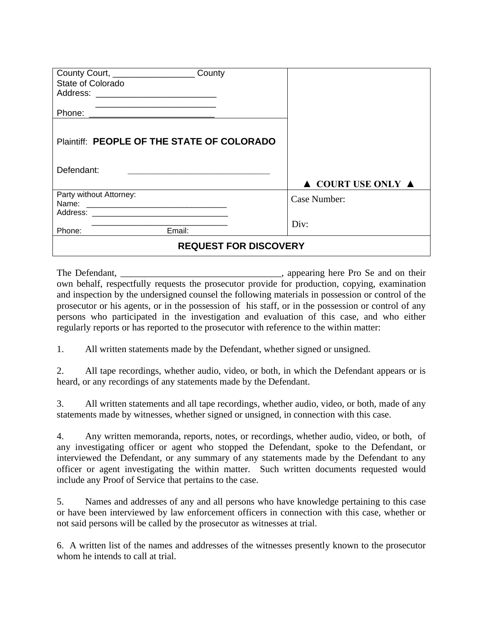| County Court, ___________________<br>State of Colorado                                                                                                                                                                         | County |                                        |
|--------------------------------------------------------------------------------------------------------------------------------------------------------------------------------------------------------------------------------|--------|----------------------------------------|
| Phone: the contract of the contract of the contract of the contract of the contract of the contract of the contract of the contract of the contract of the contract of the contract of the contract of the contract of the con |        |                                        |
| Plaintiff: PEOPLE OF THE STATE OF COLORADO                                                                                                                                                                                     |        |                                        |
| Defendant:                                                                                                                                                                                                                     |        |                                        |
|                                                                                                                                                                                                                                |        | $\triangle$ COURT USE ONLY $\triangle$ |
| Party without Attorney:                                                                                                                                                                                                        |        | Case Number:                           |
| Email:<br>Phone:                                                                                                                                                                                                               |        | Div:                                   |
| <b>REQUEST FOR DISCOVERY</b>                                                                                                                                                                                                   |        |                                        |

The Defendant, **The Defendant**, **Example 2014** appearing here Pro Se and on their own behalf, respectfully requests the prosecutor provide for production, copying, examination and inspection by the undersigned counsel the following materials in possession or control of the prosecutor or his agents, or in the possession of his staff, or in the possession or control of any persons who participated in the investigation and evaluation of this case, and who either regularly reports or has reported to the prosecutor with reference to the within matter:

1. All written statements made by the Defendant, whether signed or unsigned.

2. All tape recordings, whether audio, video, or both, in which the Defendant appears or is heard, or any recordings of any statements made by the Defendant.

3. All written statements and all tape recordings, whether audio, video, or both, made of any statements made by witnesses, whether signed or unsigned, in connection with this case.

4. Any written memoranda, reports, notes, or recordings, whether audio, video, or both, of any investigating officer or agent who stopped the Defendant, spoke to the Defendant, or interviewed the Defendant, or any summary of any statements made by the Defendant to any officer or agent investigating the within matter. Such written documents requested would include any Proof of Service that pertains to the case.

5. Names and addresses of any and all persons who have knowledge pertaining to this case or have been interviewed by law enforcement officers in connection with this case, whether or not said persons will be called by the prosecutor as witnesses at trial.

6. A written list of the names and addresses of the witnesses presently known to the prosecutor whom he intends to call at trial.